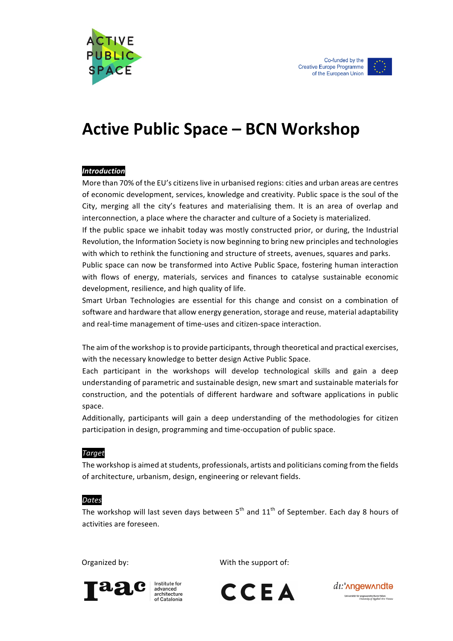



# **Active Public Space – BCN Workshop**

### *Introduction*

More than 70% of the EU's citizens live in urbanised regions: cities and urban areas are centres of economic development, services, knowledge and creativity. Public space is the soul of the City, merging all the city's features and materialising them. It is an area of overlap and interconnection, a place where the character and culture of a Society is materialized.

If the public space we inhabit today was mostly constructed prior, or during, the Industrial Revolution, the Information Society is now beginning to bring new principles and technologies with which to rethink the functioning and structure of streets, avenues, squares and parks.

Public space can now be transformed into Active Public Space, fostering human interaction with flows of energy, materials, services and finances to catalyse sustainable economic development, resilience, and high quality of life.

Smart Urban Technologies are essential for this change and consist on a combination of software and hardware that allow energy generation, storage and reuse, material adaptability and real-time management of time-uses and citizen-space interaction.

The aim of the workshop is to provide participants, through theoretical and practical exercises, with the necessary knowledge to better design Active Public Space.

Each participant in the workshops will develop technological skills and gain a deep understanding of parametric and sustainable design, new smart and sustainable materials for construction, and the potentials of different hardware and software applications in public space.

Additionally, participants will gain a deep understanding of the methodologies for citizen participation in design, programming and time-occupation of public space.

### *Target*

The workshop is aimed at students, professionals, artists and politicians coming from the fields of architecture, urbanism, design, engineering or relevant fields.

#### *Dates*

The workshop will last seven days between  $5<sup>th</sup>$  and  $11<sup>th</sup>$  of September. Each day 8 hours of activities are foreseen.

Organized by:  $\qquad \qquad \qquad \qquad$  With the support of:



advanced acchitecture of Catalonia